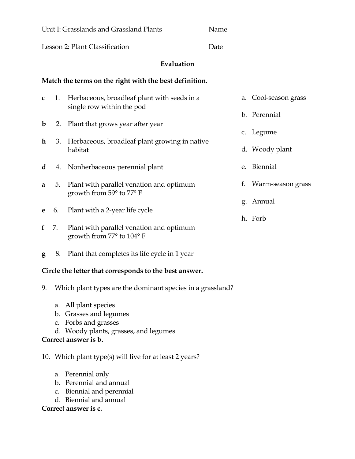| Unit I: Grasslands and Grassland Plants                |    |                                                                         |                         |
|--------------------------------------------------------|----|-------------------------------------------------------------------------|-------------------------|
| Lesson 2: Plant Classification                         |    |                                                                         |                         |
| Evaluation                                             |    |                                                                         |                         |
| Match the terms on the right with the best definition. |    |                                                                         |                         |
| $\mathbf{C}$                                           |    | 1. Herbaceous, broadleaf plant with seeds in a                          | a. Cool-season grass    |
|                                                        |    | single row within the pod                                               | b. Perennial            |
| $\mathbf b$                                            |    | 2. Plant that grows year after year                                     | c. Legume               |
| $\mathbf{h}$                                           |    | 3. Herbaceous, broadleaf plant growing in native<br>habitat             | d. Woody plant          |
| d                                                      |    | 4. Nonherbaceous perennial plant                                        | e. Biennial             |
| a                                                      |    | 5. Plant with parallel venation and optimum<br>growth from 59° to 77° F | Warm-season grass<br>f. |
|                                                        |    |                                                                         | g. Annual               |
| e                                                      |    | 6. Plant with a 2-year life cycle                                       | h. Forb                 |
| f                                                      | 7. | Plant with parallel venation and optimum<br>growth from 77° to 104° F   |                         |

**g** 8. Plant that completes its life cycle in 1 year

## **Circle the letter that corresponds to the best answer.**

- 9. Which plant types are the dominant species in a grassland?
	- a. All plant species
	- b. Grasses and legumes
	- c. Forbs and grasses
	- d. Woody plants, grasses, and legumes

## **Correct answer is b.**

10. Which plant type(s) will live for at least 2 years?

- a. Perennial only
- b. Perennial and annual
- c. Biennial and perennial
- d. Biennial and annual

## **Correct answer is c.**